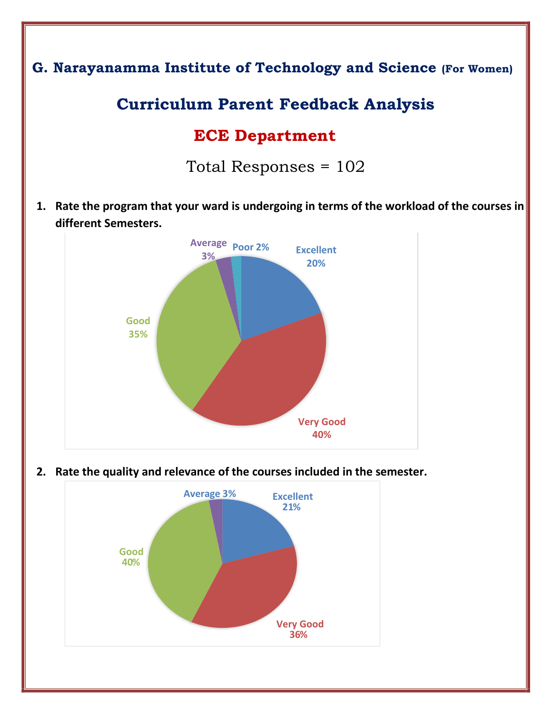

**2. Rate the quality and relevance of the courses included in the semester.** 

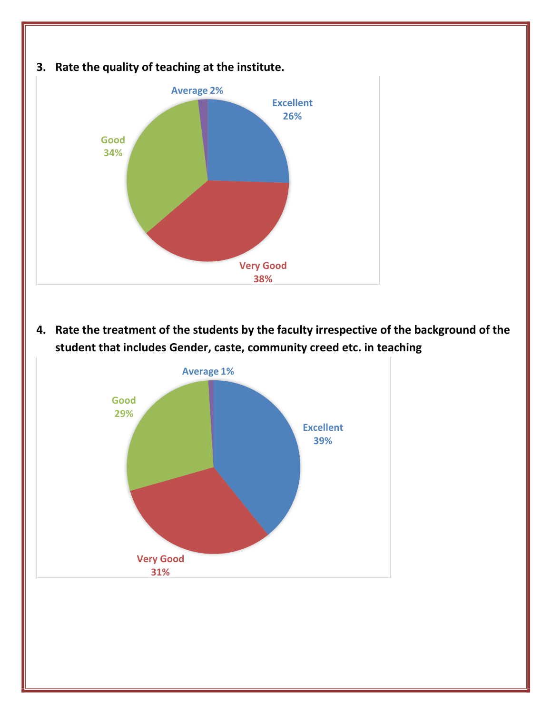

**4. Rate the treatment of the students by the faculty irrespective of the background of the student that includes Gender, caste, community creed etc. in teaching** 

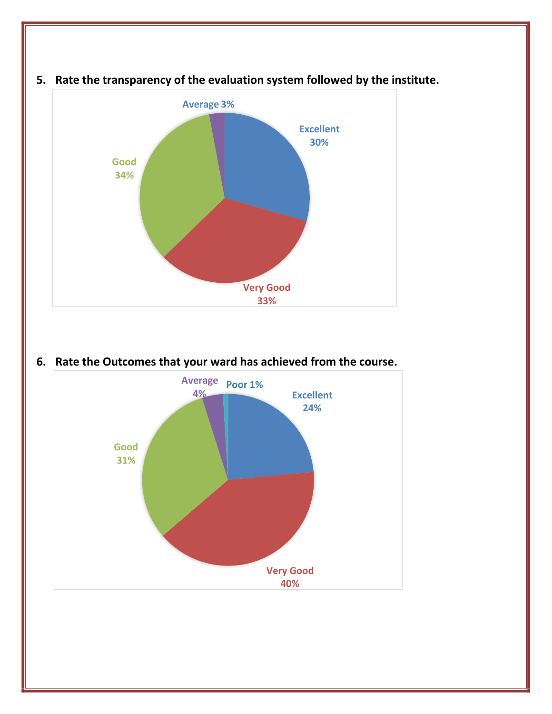

## **5. Rate the transparency of the evaluation system followed by the institute.**

**6. Rate the Outcomes that your ward has achieved from the course.** 

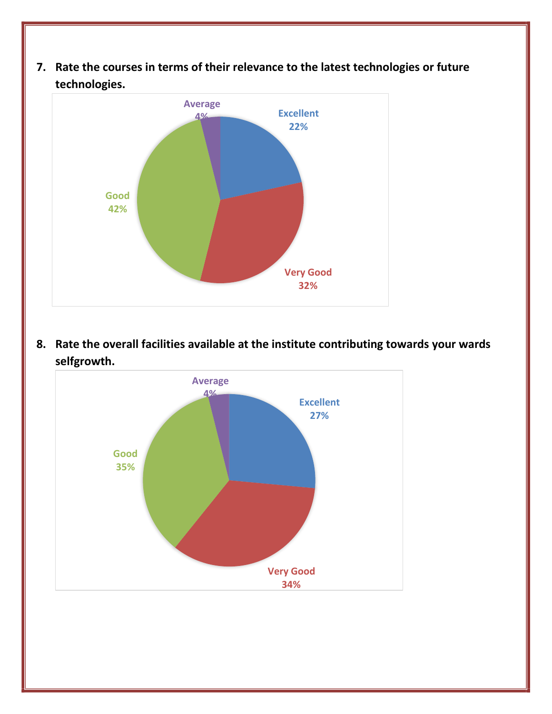**7. Rate the courses in terms of their relevance to the latest technologies or future technologies.** 



**8. Rate the overall facilities available at the institute contributing towards your wards selfgrowth.** 

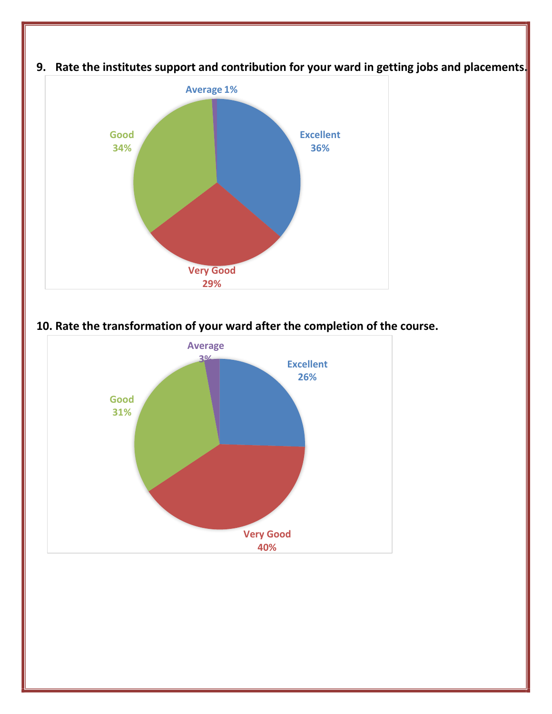

**9. Rate the institutes support and contribution for your ward in getting jobs and placements.** 

**10. Rate the transformation of your ward after the completion of the course.**